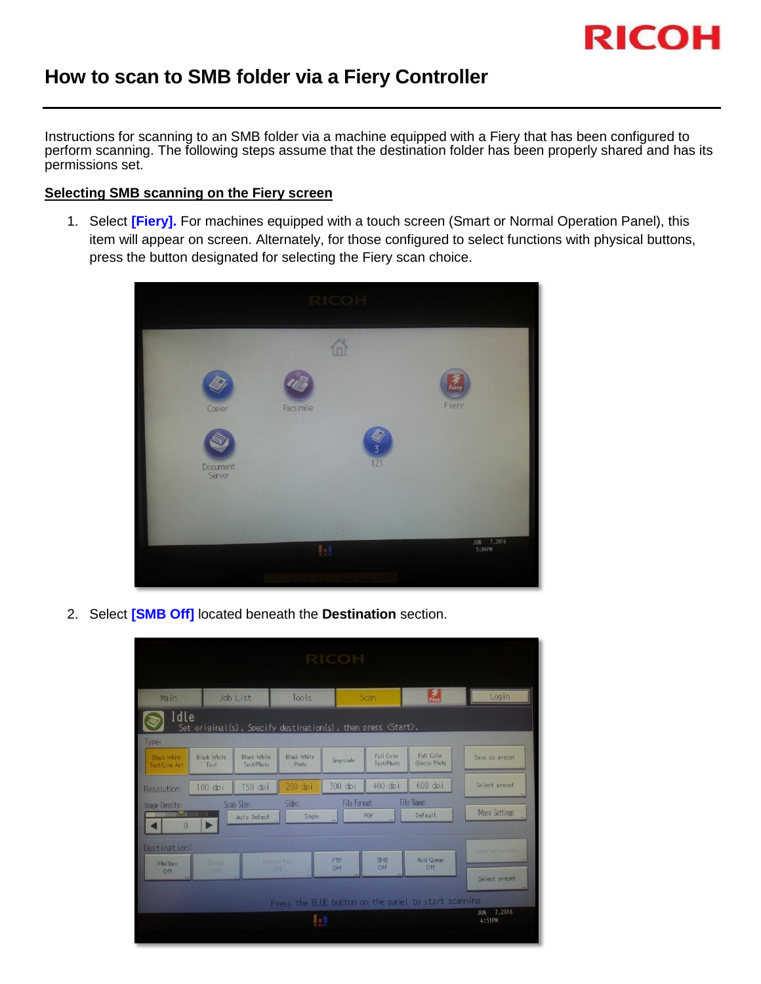

## **How to scan to SMB folder via a Fiery Controller**

Instructions for scanning to an SMB folder via a machine equipped with a Fiery that has been configured to perform scanning. The following steps assume that the destination folder has been properly shared and has its permissions set.

## **Selecting SMB scanning on the Fiery screen**

1. Select **[Fiery].** For machines equipped with a touch screen (Smart or Normal Operation Panel), this item will appear on screen. Alternately, for those configured to select functions with physical buttons, press the button designated for selecting the Fiery scan choice.

|                    | RICOHI     |                         |
|--------------------|------------|-------------------------|
|                    | 6          |                         |
| Copier             | Facsimile  | fiery<br>Fiery          |
| Document<br>Server |            | $\overline{3}$<br>123   |
|                    |            |                         |
|                    | <b>U.S</b> | 7,2016<br>JUN<br>5:04PM |
|                    |            |                         |

2. Select **[SMB Off]** located beneath the **Destination** section.

|                                                |                                         |                                  |                                                                      | <b>RICOH</b>        |                                 |                                                      |                                 |
|------------------------------------------------|-----------------------------------------|----------------------------------|----------------------------------------------------------------------|---------------------|---------------------------------|------------------------------------------------------|---------------------------------|
| Main                                           |                                         | Job List                         | Tools                                                                |                     | Scan                            | $\tilde{z}$                                          | Login                           |
| Idle                                           |                                         |                                  | Set original(s), Specify destination(s), then press <start>.</start> |                     |                                 |                                                      |                                 |
| Type:<br><b>Black White</b><br>Text/Line Art   | <b>Black White</b><br>Text              | <b>Black White</b><br>Text/Photo | <b>Black White</b><br>Photo                                          | Gravscale           | <b>Full Color</b><br>Text/Photo | <b>Full Color</b><br>Glossy Photo                    | Save as preset                  |
| Resolution:                                    | 100 dpi                                 | 150 dpi                          | 200 dpi                                                              | 300 dpi             | 400 dpi                         | 600 dpi                                              | Select preset                   |
| Image Density:<br>$\mathbf{v}$<br>$\mathbf{0}$ | n.<br><b>T</b><br>$\blacktriangleright$ | Scan Size:<br>Auto Detect        | Sides:<br>Single.                                                    | <b>File Format:</b> | PDF                             | <b>File Name:</b><br>Default                         | <b>More Settings</b>            |
| Destination:<br>Mailbox<br>Off.                | Email<br><b>Off</b>                     | Internet: Face<br>OFF.           |                                                                      | <b>FTP</b><br>Off   | <b>SMB</b><br>Off               | <b>Hold Queue</b><br>Off                             | Save as preset<br>Select preset |
|                                                |                                         |                                  | W                                                                    |                     |                                 | Press the BLUE button on the panel to start scanning | JUN 7.2016<br>4:51PM            |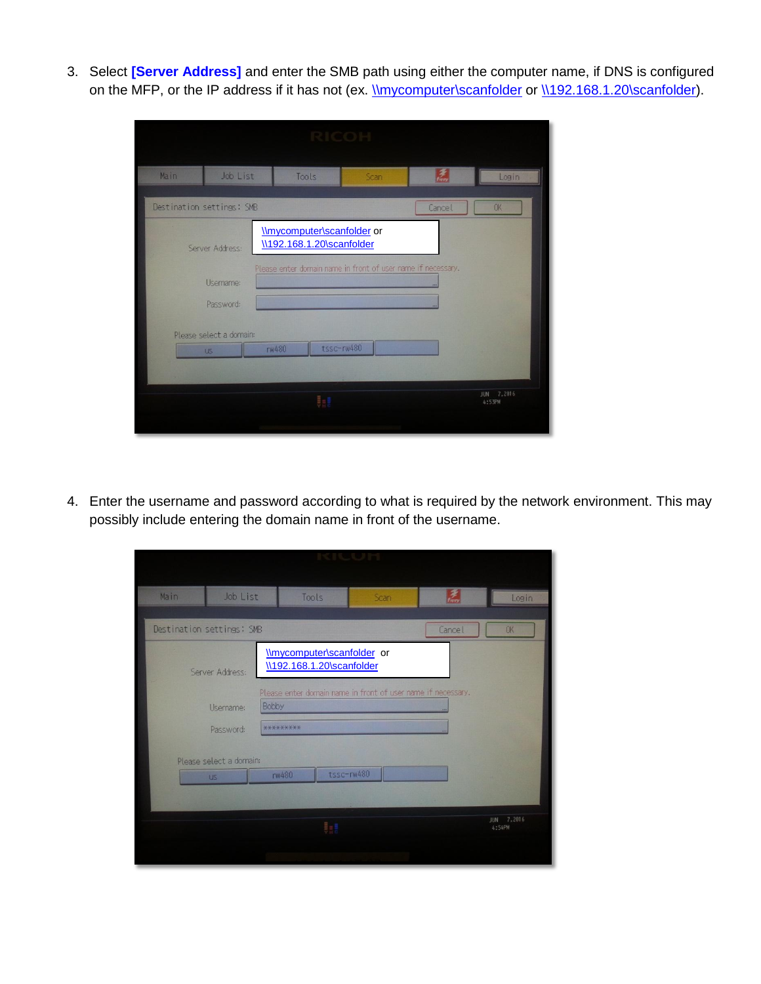3. Select **[Server Address]** and enter the SMB path using either the computer name, if DNS is configured on the MFP, or the IP address if it has not (ex. [\\mycomputer\scanfolder](file://mycomputer/scanfolder) or [\\192.168.1.20\scanfolder\)](file://192.168.1.20/scanfolder).

|      |                                                                                   | RHIGOR                                                                                                                                                       |      |        |                      |
|------|-----------------------------------------------------------------------------------|--------------------------------------------------------------------------------------------------------------------------------------------------------------|------|--------|----------------------|
| Main | Job List                                                                          | Tools                                                                                                                                                        | Scan | 柔      | Login                |
|      | Destination settings: SMB                                                         |                                                                                                                                                              |      | Cancel | OK                   |
|      | Server Address:<br>Username:<br>Password:<br>Please select a domain:<br><b>US</b> | <b>\\mycomputer\scanfolder</b> or<br>\\192.168.1.20\scanfolder<br>Please enter domain name in front of user name if necessary.<br>tssc-rw480<br><b>rw480</b> |      |        |                      |
|      |                                                                                   | Ba                                                                                                                                                           |      |        | JUN 7,2016<br>4:53PM |

4. Enter the username and password according to what is required by the network environment. This may possibly include entering the domain name in front of the username.

| Main                      | Job List                             | Tools                                                                 | Scan       | $\frac{2}{t}$ | Login                |
|---------------------------|--------------------------------------|-----------------------------------------------------------------------|------------|---------------|----------------------|
|                           |                                      |                                                                       |            |               |                      |
| Destination settings: SMB |                                      |                                                                       |            | Cancel        | OK                   |
|                           | Server Address:                      | <b>Imycomputer</b> scanfolder or<br>\\192.168.1.20\scanfolder         |            |               |                      |
|                           | Username:                            | Please enter domain name in front of user name if necessary.<br>Bobby |            |               |                      |
|                           | Password:                            | *********                                                             |            |               |                      |
|                           | Please select a domain:<br><b>US</b> | <b>rw480</b>                                                          | tssc-rw480 |               |                      |
|                           |                                      | W                                                                     |            |               | JUN 7,2016<br>4:54PM |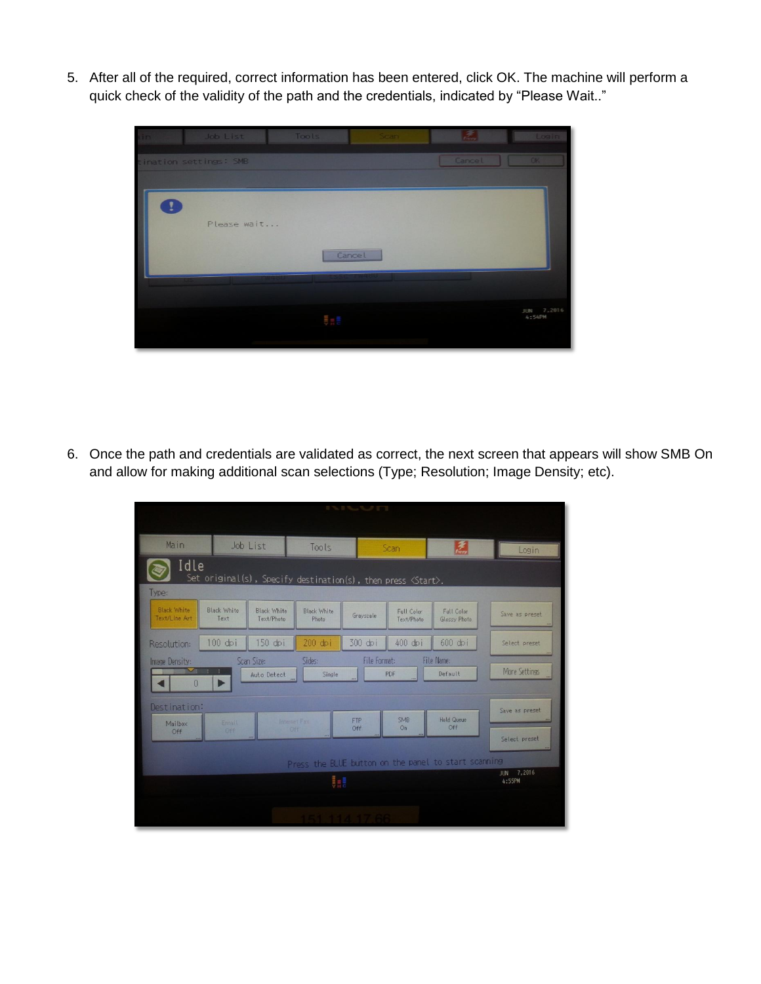5. After all of the required, correct information has been entered, click OK. The machine will perform a quick check of the validity of the path and the credentials, indicated by "Please Wait.."



6. Once the path and credentials are validated as correct, the next screen that appears will show SMB On and allow for making additional scan selections (Type; Resolution; Image Density; etc).

| Main                                                                  | Job List<br>Tools                                                     |                                  | Scan                        |                   | $\tilde{z}$                       | Login                             |                      |  |  |
|-----------------------------------------------------------------------|-----------------------------------------------------------------------|----------------------------------|-----------------------------|-------------------|-----------------------------------|-----------------------------------|----------------------|--|--|
| Idle                                                                  | Set original(s), Specify destination(s), then press $\langle$ Start>. |                                  |                             |                   |                                   |                                   |                      |  |  |
| Type:                                                                 |                                                                       |                                  |                             |                   |                                   |                                   |                      |  |  |
| <b>Black White</b><br>Text/Line Art                                   | <b>Black White</b><br>Text                                            | <b>Black White</b><br>Text/Photo | <b>Black White</b><br>Photo | Gravscale         | <b>Full Color</b><br>Text/Photo   | <b>Full Color</b><br>Glossy Photo | Save as preset       |  |  |
| Resolution:                                                           | $100$ dpi                                                             | 150 dpi                          | 200 dpi                     | 300 dpi           | 400 dpi                           | 600 dpi                           | Select preset        |  |  |
| Image Density:                                                        | Scan Size:<br>Sides:                                                  |                                  |                             |                   | <b>File Name:</b><br>File Format: |                                   |                      |  |  |
|                                                                       |                                                                       | Auto Detect                      | Single                      |                   | PDF                               | Default                           | <b>More Settings</b> |  |  |
| $\hat{0}$                                                             | Þ                                                                     |                                  |                             |                   |                                   |                                   |                      |  |  |
| Destination:                                                          |                                                                       |                                  |                             |                   |                                   |                                   | Save as preset       |  |  |
| Mailbox                                                               | Email                                                                 | Internet Fax                     |                             | <b>FTP</b><br>Off | <b>SMB</b><br>O <sub>n</sub>      | <b>Hold Queue</b><br>Off          |                      |  |  |
| Off                                                                   | Off                                                                   | Off                              |                             |                   |                                   |                                   | Select preset        |  |  |
|                                                                       |                                                                       |                                  |                             |                   |                                   |                                   |                      |  |  |
| Press the BLUE button on the panel to start scanning<br>7,2016<br>JUN |                                                                       |                                  |                             |                   |                                   |                                   |                      |  |  |
|                                                                       |                                                                       |                                  | 鼎                           |                   |                                   |                                   | 4:55PM               |  |  |
|                                                                       |                                                                       |                                  |                             |                   |                                   |                                   |                      |  |  |
|                                                                       |                                                                       |                                  |                             |                   |                                   |                                   |                      |  |  |